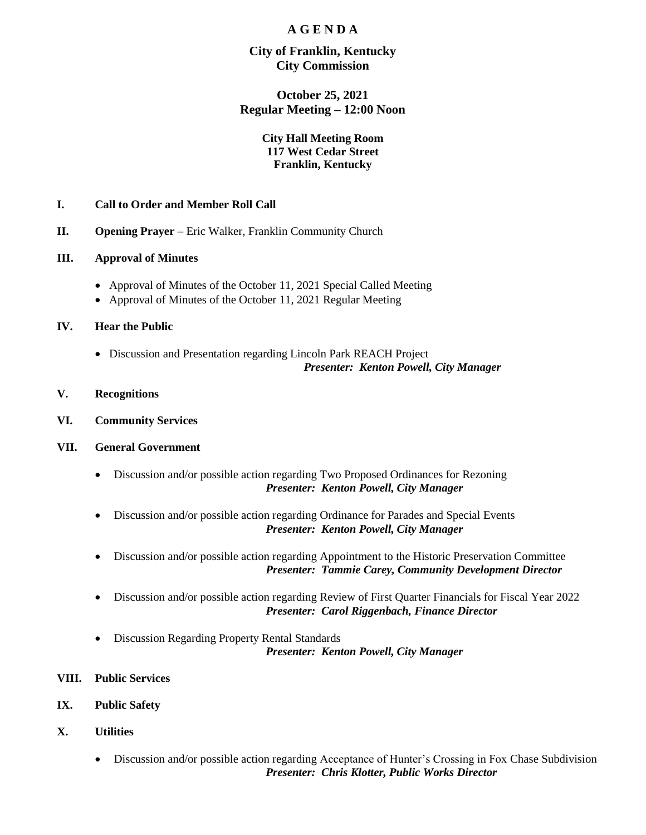# **A G E N D A**

## **City of Franklin, Kentucky City Commission**

# **October 25, 2021 Regular Meeting – 12:00 Noon**

#### **City Hall Meeting Room 117 West Cedar Street Franklin, Kentucky**

## **I. Call to Order and Member Roll Call**

- **II. Opening Prayer** Eric Walker, Franklin Community Church
- **III. Approval of Minutes**
	- Approval of Minutes of the October 11, 2021 Special Called Meeting
	- Approval of Minutes of the October 11, 2021 Regular Meeting

#### **IV. Hear the Public**

- Discussion and Presentation regarding Lincoln Park REACH Project *Presenter: Kenton Powell, City Manager*
- **V. Recognitions**
- **VI. Community Services**

#### **VII. General Government**

- Discussion and/or possible action regarding Two Proposed Ordinances for Rezoning *Presenter: Kenton Powell, City Manager*
- Discussion and/or possible action regarding Ordinance for Parades and Special Events *Presenter: Kenton Powell, City Manager*
- Discussion and/or possible action regarding Appointment to the Historic Preservation Committee *Presenter: Tammie Carey, Community Development Director*
- Discussion and/or possible action regarding Review of First Quarter Financials for Fiscal Year 2022 *Presenter: Carol Riggenbach, Finance Director*
- Discussion Regarding Property Rental Standards *Presenter: Kenton Powell, City Manager*
- **VIII. Public Services**
- **IX. Public Safety**
- **X. Utilities**
	- Discussion and/or possible action regarding Acceptance of Hunter's Crossing in Fox Chase Subdivision *Presenter: Chris Klotter, Public Works Director*